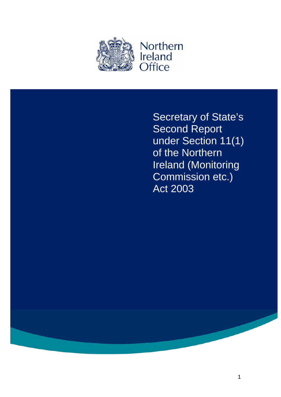

Secretary of State's Second Report under Section 11(1) of the Northern Ireland (Monitoring Commission etc.) Act 2003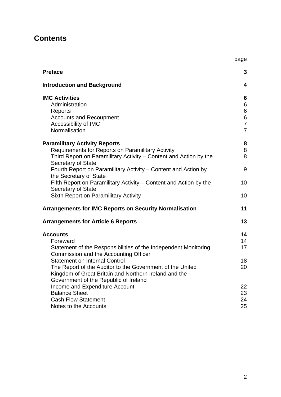## **Contents**

|                                                                                                                    | page                    |
|--------------------------------------------------------------------------------------------------------------------|-------------------------|
| <b>Preface</b>                                                                                                     | 3                       |
| <b>Introduction and Background</b>                                                                                 | $\overline{\mathbf{4}}$ |
| <b>IMC Activities</b>                                                                                              | 6                       |
| Administration                                                                                                     | $\,6$                   |
| Reports                                                                                                            | $\,$ 6 $\,$             |
| <b>Accounts and Recoupment</b>                                                                                     | $\overline{6}$          |
| Accessibility of IMC                                                                                               | $\overline{7}$          |
| Normalisation                                                                                                      | $\overline{7}$          |
| <b>Paramilitary Activity Reports</b>                                                                               | 8                       |
| Requirements for Reports on Paramilitary Activity                                                                  | $\,8\,$                 |
| Third Report on Paramilitary Activity - Content and Action by the<br><b>Secretary of State</b>                     | 8                       |
| Fourth Report on Paramilitary Activity – Content and Action by<br>the Secretary of State                           | 9                       |
| Fifth Report on Paramilitary Activity – Content and Action by the<br><b>Secretary of State</b>                     | 10                      |
| <b>Sixth Report on Paramilitary Activity</b>                                                                       | 10                      |
| <b>Arrangements for IMC Reports on Security Normalisation</b>                                                      | 11                      |
| <b>Arrangements for Article 6 Reports</b>                                                                          | 13                      |
| <b>Accounts</b>                                                                                                    | 14                      |
| Foreward                                                                                                           | 14                      |
| Statement of the Responsibilities of the Independent Monitoring<br>Commission and the Accounting Officer           | 17                      |
| <b>Statement on Internal Control</b>                                                                               | 18                      |
| The Report of the Auditor to the Government of the United<br>Kingdom of Great Britain and Northern Ireland and the | 20                      |
| Government of the Republic of Ireland                                                                              |                         |
| Income and Expenditure Account                                                                                     | 22                      |
| <b>Balance Sheet</b>                                                                                               | 23                      |
| <b>Cash Flow Statement</b>                                                                                         | 24                      |
| Notes to the Accounts                                                                                              | 25                      |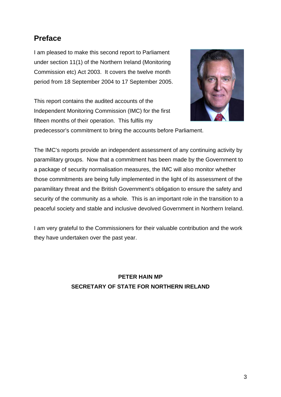# **Preface**

I am pleased to make this second report to Parliament under section 11(1) of the Northern Ireland (Monitoring Commission etc) Act 2003. It covers the twelve month period from 18 September 2004 to 17 September 2005.

This report contains the audited accounts of the Independent Monitoring Commission (IMC) for the first fifteen months of their operation. This fulfils my



predecessor's commitment to bring the accounts before Parliament.

The IMC's reports provide an independent assessment of any continuing activity by paramilitary groups. Now that a commitment has been made by the Government to a package of security normalisation measures, the IMC will also monitor whether those commitments are being fully implemented in the light of its assessment of the paramilitary threat and the British Government's obligation to ensure the safety and security of the community as a whole. This is an important role in the transition to a peaceful society and stable and inclusive devolved Government in Northern Ireland.

I am very grateful to the Commissioners for their valuable contribution and the work they have undertaken over the past year.

> **PETER HAIN MP SECRETARY OF STATE FOR NORTHERN IRELAND**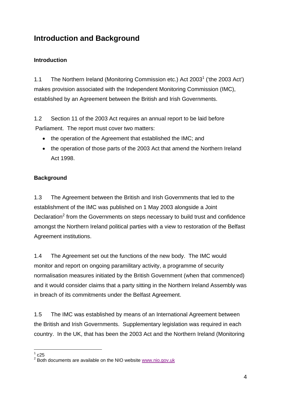# **Introduction and Background**

## **Introduction**

1.1 The Northern Ireland (Monitoring Commission etc.) Act 2003<sup>1</sup> ('the 2003 Act') makes provision associated with the Independent Monitoring Commission (IMC), established by an Agreement between the British and Irish Governments.

1.2 Section 11 of the 2003 Act requires an annual report to be laid before Parliament. The report must cover two matters:

- the operation of the Agreement that established the IMC; and
- the operation of those parts of the 2003 Act that amend the Northern Ireland Act 1998.

## **Background**

1.3 The Agreement between the British and Irish Governments that led to the establishment of the IMC was published on 1 May 2003 alongside a Joint Declaration<sup>2</sup> from the Governments on steps necessary to build trust and confidence amongst the Northern Ireland political parties with a view to restoration of the Belfast Agreement institutions.

1.4 The Agreement set out the functions of the new body. The IMC would monitor and report on ongoing paramilitary activity, a programme of security normalisation measures initiated by the British Government (when that commenced) and it would consider claims that a party sitting in the Northern Ireland Assembly was in breach of its commitments under the Belfast Agreement.

1.5 The IMC was established by means of an International Agreement between the British and Irish Governments. Supplementary legislation was required in each country. In the UK, that has been the 2003 Act and the Northern Ireland (Monitoring

<sup>1</sup>  $1 \text{ c}25$ 

 $2$  Both documents are available on the NIO website www.nio.gov.uk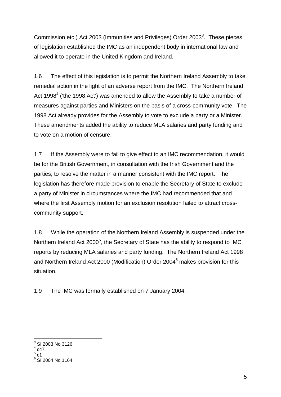Commission etc.) Act 2003 (Immunities and Privileges) Order 2003<sup>3</sup>. These pieces of legislation established the IMC as an independent body in international law and allowed it to operate in the United Kingdom and Ireland.

1.6 The effect of this legislation is to permit the Northern Ireland Assembly to take remedial action in the light of an adverse report from the IMC. The Northern Ireland Act 1998 $<sup>4</sup>$  ('the 1998 Act') was amended to allow the Assembly to take a number of</sup> measures against parties and Ministers on the basis of a cross-community vote. The 1998 Act already provides for the Assembly to vote to exclude a party or a Minister. These amendments added the ability to reduce MLA salaries and party funding and to vote on a motion of censure.

1.7 If the Assembly were to fail to give effect to an IMC recommendation, it would be for the British Government, in consultation with the Irish Government and the parties, to resolve the matter in a manner consistent with the IMC report. The legislation has therefore made provision to enable the Secretary of State to exclude a party of Minister in circumstances where the IMC had recommended that and where the first Assembly motion for an exclusion resolution failed to attract crosscommunity support.

1.8 While the operation of the Northern Ireland Assembly is suspended under the Northern Ireland Act 2000 $^5$ , the Secretary of State has the ability to respond to IMC reports by reducing MLA salaries and party funding. The Northern Ireland Act 1998 and Northern Ireland Act 2000 (Modification) Order 2004<sup>6</sup> makes provision for this situation.

1.9 The IMC was formally established on 7 January 2004.

 $\frac{1}{3}$ SI 2003 No 3126

 $4$  c47

<sup>5</sup>

<sup>°</sup> c1<br><sup>6</sup> SI 2004 No 1164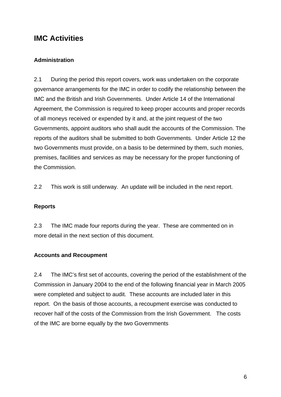## **IMC Activities**

### **Administration**

2.1 During the period this report covers, work was undertaken on the corporate governance arrangements for the IMC in order to codify the relationship between the IMC and the British and Irish Governments. Under Article 14 of the International Agreement, the Commission is required to keep proper accounts and proper records of all moneys received or expended by it and, at the joint request of the two Governments, appoint auditors who shall audit the accounts of the Commission. The reports of the auditors shall be submitted to both Governments. Under Article 12 the two Governments must provide, on a basis to be determined by them, such monies, premises, facilities and services as may be necessary for the proper functioning of the Commission.

2.2 This work is still underway. An update will be included in the next report.

#### **Reports**

2.3 The IMC made four reports during the year. These are commented on in more detail in the next section of this document.

#### **Accounts and Recoupment**

2.4 The IMC's first set of accounts, covering the period of the establishment of the Commission in January 2004 to the end of the following financial year in March 2005 were completed and subject to audit. These accounts are included later in this report. On the basis of those accounts, a recoupment exercise was conducted to recover half of the costs of the Commission from the Irish Government. The costs of the IMC are borne equally by the two Governments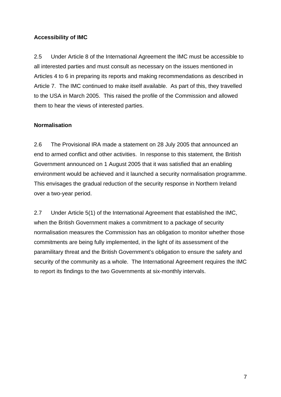### **Accessibility of IMC**

2.5 Under Article 8 of the International Agreement the IMC must be accessible to all interested parties and must consult as necessary on the issues mentioned in Articles 4 to 6 in preparing its reports and making recommendations as described in Article 7. The IMC continued to make itself available. As part of this, they travelled to the USA in March 2005. This raised the profile of the Commission and allowed them to hear the views of interested parties.

### **Normalisation**

2.6 The Provisional IRA made a statement on 28 July 2005 that announced an end to armed conflict and other activities. In response to this statement, the British Government announced on 1 August 2005 that it was satisfied that an enabling environment would be achieved and it launched a security normalisation programme. This envisages the gradual reduction of the security response in Northern Ireland over a two-year period.

2.7 Under Article 5(1) of the International Agreement that established the IMC, when the British Government makes a commitment to a package of security normalisation measures the Commission has an obligation to monitor whether those commitments are being fully implemented, in the light of its assessment of the paramilitary threat and the British Government's obligation to ensure the safety and security of the community as a whole. The International Agreement requires the IMC to report its findings to the two Governments at six-monthly intervals.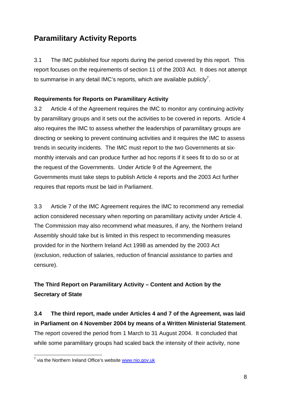# **Paramilitary Activity Reports**

3.1 The IMC published four reports during the period covered by this report. This report focuses on the requirements of section 11 of the 2003 Act. It does not attempt to summarise in any detail IMC's reports, which are available publicly<sup>7</sup>.

## **Requirements for Reports on Paramilitary Activity**

3.2 Article 4 of the Agreement requires the IMC to monitor any continuing activity by paramilitary groups and it sets out the activities to be covered in reports. Article 4 also requires the IMC to assess whether the leaderships of paramilitary groups are directing or seeking to prevent continuing activities and it requires the IMC to assess trends in security incidents. The IMC must report to the two Governments at sixmonthly intervals and can produce further ad hoc reports if it sees fit to do so or at the request of the Governments. Under Article 9 of the Agreement, the Governments must take steps to publish Article 4 reports and the 2003 Act further requires that reports must be laid in Parliament.

3.3 Article 7 of the IMC Agreement requires the IMC to recommend any remedial action considered necessary when reporting on paramilitary activity under Article 4. The Commission may also recommend what measures, if any, the Northern Ireland Assembly should take but is limited in this respect to recommending measures provided for in the Northern Ireland Act 1998 as amended by the 2003 Act (exclusion, reduction of salaries, reduction of financial assistance to parties and censure).

## **The Third Report on Paramilitary Activity – Content and Action by the Secretary of State**

**3.4 The third report, made under Articles 4 and 7 of the Agreement, was laid in Parliament on 4 November 2004 by means of a Written Ministerial Statement**. The report covered the period from 1 March to 31 August 2004. It concluded that while some paramilitary groups had scaled back the intensity of their activity, none

 7 via the Northern Ireland Office's website www.nio.gov.uk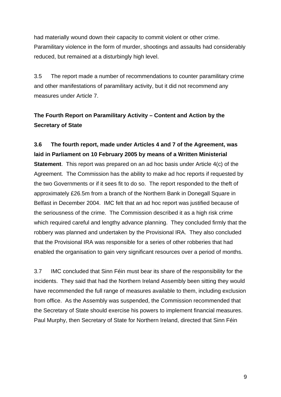had materially wound down their capacity to commit violent or other crime. Paramilitary violence in the form of murder, shootings and assaults had considerably reduced, but remained at a disturbingly high level.

3.5 The report made a number of recommendations to counter paramilitary crime and other manifestations of paramilitary activity, but it did not recommend any measures under Article 7.

## **The Fourth Report on Paramilitary Activity – Content and Action by the Secretary of State**

## **3.6 The fourth report, made under Articles 4 and 7 of the Agreement, was laid in Parliament on 10 February 2005 by means of a Written Ministerial**

**Statement**. This report was prepared on an ad hoc basis under Article 4(c) of the Agreement. The Commission has the ability to make ad hoc reports if requested by the two Governments or if it sees fit to do so. The report responded to the theft of approximately £26.5m from a branch of the Northern Bank in Donegall Square in Belfast in December 2004. IMC felt that an ad hoc report was justified because of the seriousness of the crime. The Commission described it as a high risk crime which required careful and lengthy advance planning. They concluded firmly that the robbery was planned and undertaken by the Provisional IRA. They also concluded that the Provisional IRA was responsible for a series of other robberies that had enabled the organisation to gain very significant resources over a period of months.

3.7 IMC concluded that Sinn Féin must bear its share of the responsibility for the incidents. They said that had the Northern Ireland Assembly been sitting they would have recommended the full range of measures available to them, including exclusion from office. As the Assembly was suspended, the Commission recommended that the Secretary of State should exercise his powers to implement financial measures. Paul Murphy, then Secretary of State for Northern Ireland, directed that Sinn Féin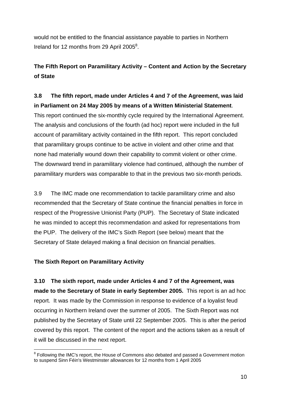would not be entitled to the financial assistance payable to parties in Northern Ireland for 12 months from 29 April 2005<sup>8</sup>.

## **The Fifth Report on Paramilitary Activity – Content and Action by the Secretary of State**

## **3.8 The fifth report, made under Articles 4 and 7 of the Agreement, was laid in Parliament on 24 May 2005 by means of a Written Ministerial Statement**.

This report continued the six-monthly cycle required by the International Agreement. The analysis and conclusions of the fourth (ad hoc) report were included in the full account of paramilitary activity contained in the fifth report. This report concluded that paramilitary groups continue to be active in violent and other crime and that none had materially wound down their capability to commit violent or other crime. The downward trend in paramilitary violence had continued, although the number of paramilitary murders was comparable to that in the previous two six-month periods.

3.9 The IMC made one recommendation to tackle paramilitary crime and also recommended that the Secretary of State continue the financial penalties in force in respect of the Progressive Unionist Party (PUP). The Secretary of State indicated he was minded to accept this recommendation and asked for representations from the PUP. The delivery of the IMC's Sixth Report (see below) meant that the Secretary of State delayed making a final decision on financial penalties.

#### **The Sixth Report on Paramilitary Activity**

**3.10 The sixth report, made under Articles 4 and 7 of the Agreement, was made to the Secretary of State in early September 2005.** This report is an ad hoc report. It was made by the Commission in response to evidence of a loyalist feud occurring in Northern Ireland over the summer of 2005. The Sixth Report was not published by the Secretary of State until 22 September 2005. This is after the period covered by this report. The content of the report and the actions taken as a result of it will be discussed in the next report.

<sup>1</sup> <sup>8</sup> Following the IMC's report, the House of Commons also debated and passed a Government motion to suspend Sinn Féin's Westminster allowances for 12 months from 1 April 2005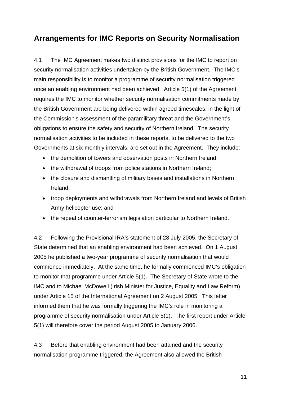# **Arrangements for IMC Reports on Security Normalisation**

4.1 The IMC Agreement makes two distinct provisions for the IMC to report on security normalisation activities undertaken by the British Government. The IMC's main responsibility is to monitor a programme of security normalisation triggered once an enabling environment had been achieved. Article 5(1) of the Agreement requires the IMC to monitor whether security normalisation commitments made by the British Government are being delivered within agreed timescales, in the light of the Commission's assessment of the paramilitary threat and the Government's obligations to ensure the safety and security of Northern Ireland. The security normalisation activities to be included in these reports, to be delivered to the two Governments at six-monthly intervals, are set out in the Agreement. They include:

- the demolition of towers and observation posts in Northern Ireland;
- the withdrawal of troops from police stations in Northern Ireland;
- the closure and dismantling of military bases and installations in Northern Ireland;
- troop deployments and withdrawals from Northern Ireland and levels of British Army helicopter use; and
- the repeal of counter-terrorism legislation particular to Northern Ireland.

4.2 Following the Provisional IRA's statement of 28 July 2005, the Secretary of State determined that an enabling environment had been achieved. On 1 August 2005 he published a two-year programme of security normalisation that would commence immediately. At the same time, he formally commenced IMC's obligation to monitor that programme under Article 5(1). The Secretary of State wrote to the IMC and to Michael McDowell (Irish Minister for Justice, Equality and Law Reform) under Article 15 of the International Agreement on 2 August 2005. This letter informed them that he was formally triggering the IMC's role in monitoring a programme of security normalisation under Article 5(1). The first report under Article 5(1) will therefore cover the period August 2005 to January 2006.

4.3 Before that enabling environment had been attained and the security normalisation programme triggered, the Agreement also allowed the British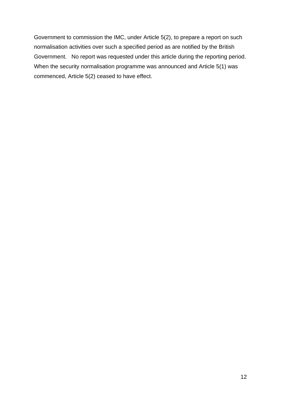Government to commission the IMC, under Article 5(2), to prepare a report on such normalisation activities over such a specified period as are notified by the British Government. No report was requested under this article during the reporting period. When the security normalisation programme was announced and Article 5(1) was commenced, Article 5(2) ceased to have effect.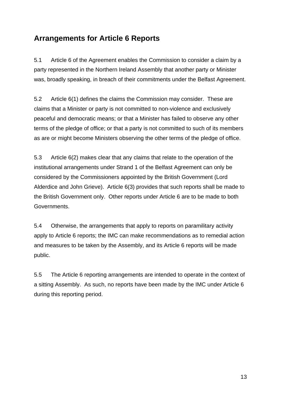# **Arrangements for Article 6 Reports**

5.1 Article 6 of the Agreement enables the Commission to consider a claim by a party represented in the Northern Ireland Assembly that another party or Minister was, broadly speaking, in breach of their commitments under the Belfast Agreement.

5.2 Article 6(1) defines the claims the Commission may consider. These are claims that a Minister or party is not committed to non-violence and exclusively peaceful and democratic means; or that a Minister has failed to observe any other terms of the pledge of office; or that a party is not committed to such of its members as are or might become Ministers observing the other terms of the pledge of office.

5.3 Article 6(2) makes clear that any claims that relate to the operation of the institutional arrangements under Strand 1 of the Belfast Agreement can only be considered by the Commissioners appointed by the British Government (Lord Alderdice and John Grieve). Article 6(3) provides that such reports shall be made to the British Government only. Other reports under Article 6 are to be made to both Governments.

5.4 Otherwise, the arrangements that apply to reports on paramilitary activity apply to Article 6 reports; the IMC can make recommendations as to remedial action and measures to be taken by the Assembly, and its Article 6 reports will be made public.

5.5 The Article 6 reporting arrangements are intended to operate in the context of a sitting Assembly. As such, no reports have been made by the IMC under Article 6 during this reporting period.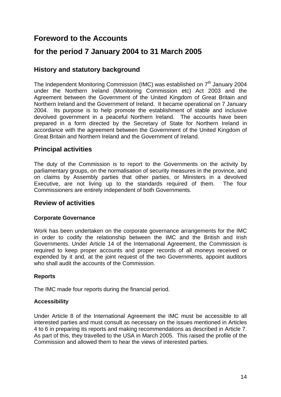## **Foreword to the Accounts**

## **for the period 7 January 2004 to 31 March 2005**

## **History and statutory background**

The Independent Monitoring Commission (IMC) was established on  $7<sup>th</sup>$  January 2004 under the Northern Ireland (Monitoring Commission etc) Act 2003 and the Agreement between the Government of the United Kingdom of Great Britain and Northern Ireland and the Government of Ireland. It became operational on 7 January 2004. Its purpose is to help promote the establishment of stable and inclusive devolved government in a peaceful Northern Ireland. The accounts have been prepared in a form directed by the Secretary of State for Northern Ireland in accordance with the agreement between the Government of the United Kingdom of Great Britain and Northern Ireland and the Government of Ireland.

### **Principal activities**

The duty of the Commission is to report to the Governments on the activity by parliamentary groups, on the normalisation of security measures in the province, and on claims by Assembly parties that other parties, or Ministers in a devolved Executive, are not living up to the standards required of them. The four Commissioners are entirely independent of both Governments.

### **Review of activities**

#### **Corporate Governance**

Work has been undertaken on the corporate governance arrangements for the IMC in order to codify the relationship between the IMC and the British and Irish Governments. Under Article 14 of the International Agreement, the Commission is required to keep proper accounts and proper records of all moneys received or expended by it and, at the joint request of the two Governments, appoint auditors who shall audit the accounts of the Commission.

#### **Reports**

The IMC made four reports during the financial period.

#### **Accessibility**

Under Article 8 of the International Agreement the IMC must be accessible to all interested parties and must consult as necessary on the issues mentioned in Articles 4 to 6 in preparing its reports and making recommendations as described in Article 7. As part of this, they travelled to the USA in March 2005. This raised the profile of the Commission and allowed them to hear the views of interested parties.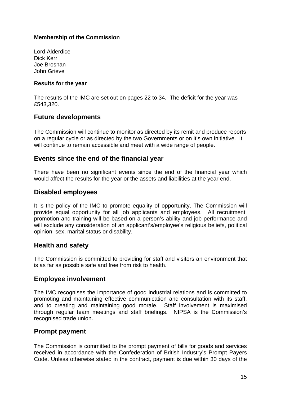#### **Membership of the Commission**

Lord Alderdice Dick Kerr Joe Brosnan John Grieve

#### **Results for the year**

The results of the IMC are set out on pages 22 to 34. The deficit for the year was £543,320.

#### **Future developments**

The Commission will continue to monitor as directed by its remit and produce reports on a regular cycle or as directed by the two Governments or on it's own initiative. It will continue to remain accessible and meet with a wide range of people.

### **Events since the end of the financial year**

There have been no significant events since the end of the financial year which would affect the results for the year or the assets and liabilities at the year end.

### **Disabled employees**

It is the policy of the IMC to promote equality of opportunity. The Commission will provide equal opportunity for all job applicants and employees. All recruitment, promotion and training will be based on a person's ability and job performance and will exclude any consideration of an applicant's/employee's religious beliefs, political opinion, sex, marital status or disability.

#### **Health and safety**

The Commission is committed to providing for staff and visitors an environment that is as far as possible safe and free from risk to health.

#### **Employee involvement**

The IMC recognises the importance of good industrial relations and is committed to promoting and maintaining effective communication and consultation with its staff, and to creating and maintaining good morale. Staff involvement is maximised through regular team meetings and staff briefings. NIPSA is the Commission's recognised trade union.

#### **Prompt payment**

The Commission is committed to the prompt payment of bills for goods and services received in accordance with the Confederation of British Industry's Prompt Payers Code. Unless otherwise stated in the contract, payment is due within 30 days of the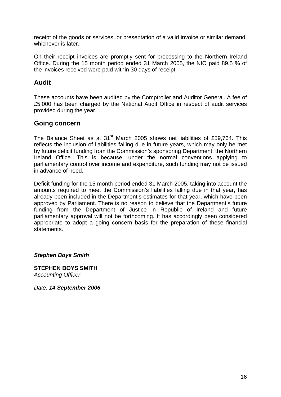receipt of the goods or services, or presentation of a valid invoice or similar demand, whichever is later.

On their receipt invoices are promptly sent for processing to the Northern Ireland Office. During the 15 month period ended 31 March 2005, the NIO paid 89.5 % of the invoices received were paid within 30 days of receipt.

## **Audit**

These accounts have been audited by the Comptroller and Auditor General. A fee of £5,000 has been charged by the National Audit Office in respect of audit services provided during the year.

### **Going concern**

The Balance Sheet as at 31<sup>st</sup> March 2005 shows net liabilities of £59,764. This reflects the inclusion of liabilities falling due in future years, which may only be met by future deficit funding from the Commission's sponsoring Department, the Northern Ireland Office. This is because, under the normal conventions applying to parliamentary control over income and expenditure, such funding may not be issued in advance of need.

Deficit funding for the 15 month period ended 31 March 2005, taking into account the amounts required to meet the Commission's liabilities falling due in that year, has already been included in the Department's estimates for that year, which have been approved by Parliament. There is no reason to believe that the Department's future funding from the Department of Justice in Republic of Ireland and future parliamentary approval will not be forthcoming. It has accordingly been considered appropriate to adopt a going concern basis for the preparation of these financial statements.

*Stephen Boys Smith* 

**STEPHEN BOYS SMITH**  *Accounting Officer* 

*Date: 14 September 2006*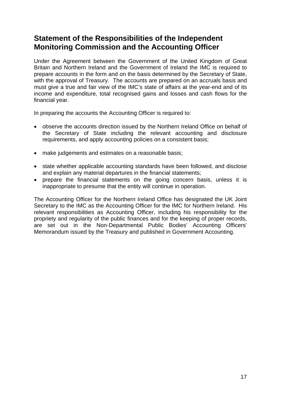## **Statement of the Responsibilities of the Independent Monitoring Commission and the Accounting Officer**

Under the Agreement between the Government of the United Kingdom of Great Britain and Northern Ireland and the Government of Ireland the IMC is required to prepare accounts in the form and on the basis determined by the Secretary of State, with the approval of Treasury. The accounts are prepared on an accruals basis and must give a true and fair view of the IMC's state of affairs at the year-end and of its income and expenditure, total recognised gains and losses and cash flows for the financial year.

In preparing the accounts the Accounting Officer is required to:

- observe the accounts direction issued by the Northern Ireland Office on behalf of the Secretary of State including the relevant accounting and disclosure requirements, and apply accounting policies on a consistent basis;
- make judgements and estimates on a reasonable basis;
- state whether applicable accounting standards have been followed, and disclose and explain any material departures in the financial statements;
- prepare the financial statements on the going concern basis, unless it is inappropriate to presume that the entity will continue in operation.

The Accounting Officer for the Northern Ireland Office has designated the UK Joint Secretary to the IMC as the Accounting Officer for the IMC for Northern Ireland. His relevant responsibilities as Accounting Officer, including his responsibility for the propriety and regularity of the public finances and for the keeping of proper records, are set out in the Non-Departmental Public Bodies' Accounting Officers' Memorandum issued by the Treasury and published in Government Accounting.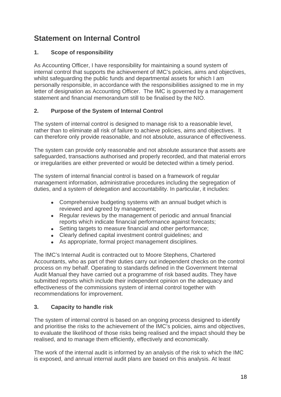# **Statement on Internal Control**

### **1. Scope of responsibility**

As Accounting Officer, I have responsibility for maintaining a sound system of internal control that supports the achievement of IMC's policies, aims and objectives, whilst safeguarding the public funds and departmental assets for which I am personally responsible, in accordance with the responsibilities assigned to me in my letter of designation as Accounting Officer. The IMC is governed by a management statement and financial memorandum still to be finalised by the NIO.

### **2. Purpose of the System of Internal Control**

The system of internal control is designed to manage risk to a reasonable level, rather than to eliminate all risk of failure to achieve policies, aims and objectives. It can therefore only provide reasonable, and not absolute, assurance of effectiveness.

The system can provide only reasonable and not absolute assurance that assets are safeguarded, transactions authorised and properly recorded, and that material errors or irregularities are either prevented or would be detected within a timely period.

The system of internal financial control is based on a framework of regular management information, administrative procedures including the segregation of duties, and a system of delegation and accountability. In particular, it includes:

- Comprehensive budgeting systems with an annual budget which is reviewed and agreed by management;
- Regular reviews by the management of periodic and annual financial reports which indicate financial performance against forecasts;
- Setting targets to measure financial and other performance;
- Clearly defined capital investment control guidelines; and
- As appropriate, formal project management disciplines.

The IMC's Internal Audit is contracted out to Moore Stephens, Chartered Accountants, who as part of their duties carry out independent checks on the control process on my behalf. Operating to standards defined in the Government Internal Audit Manual they have carried out a programme of risk based audits. They have submitted reports which include their independent opinion on the adequacy and effectiveness of the commissions system of internal control together with recommendations for improvement.

#### **3. Capacity to handle risk**

The system of internal control is based on an ongoing process designed to identify and prioritise the risks to the achievement of the IMC's policies, aims and objectives, to evaluate the likelihood of those risks being realised and the impact should they be realised, and to manage them efficiently, effectively and economically.

The work of the internal audit is informed by an analysis of the risk to which the IMC is exposed, and annual internal audit plans are based on this analysis. At least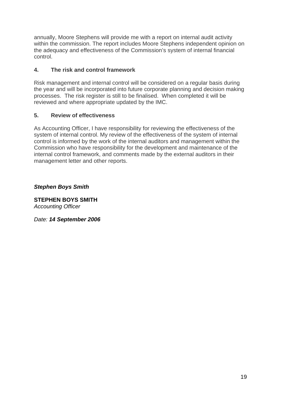annually, Moore Stephens will provide me with a report on internal audit activity within the commission. The report includes Moore Stephens independent opinion on the adequacy and effectiveness of the Commission's system of internal financial control.

### **4. The risk and control framework**

Risk management and internal control will be considered on a regular basis during the year and will be incorporated into future corporate planning and decision making processes. The risk register is still to be finalised. When completed it will be reviewed and where appropriate updated by the IMC.

### **5. Review of effectiveness**

As Accounting Officer, I have responsibility for reviewing the effectiveness of the system of internal control. My review of the effectiveness of the system of internal control is informed by the work of the internal auditors and management within the Commission who have responsibility for the development and maintenance of the internal control framework, and comments made by the external auditors in their management letter and other reports.

*Stephen Boys Smith* 

**STEPHEN BOYS SMITH**  *Accounting Officer* 

*Date: 14 September 2006*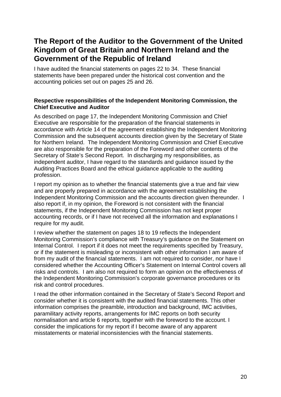## **The Report of the Auditor to the Government of the United Kingdom of Great Britain and Northern Ireland and the Government of the Republic of Ireland**

I have audited the financial statements on pages 22 to 34. These financial statements have been prepared under the historical cost convention and the accounting policies set out on pages 25 and 26.

#### **Respective responsibilities of the Independent Monitoring Commission, the Chief Executive and Auditor**

As described on page 17, the Independent Monitoring Commission and Chief Executive are responsible for the preparation of the financial statements in accordance with Article 14 of the agreement establishing the Independent Monitoring Commission and the subsequent accounts direction given by the Secretary of State for Northern Ireland. The Independent Monitoring Commission and Chief Executive are also responsible for the preparation of the Foreword and other contents of the Secretary of State's Second Report. In discharging my responsibilities, as independent auditor, I have regard to the standards and guidance issued by the Auditing Practices Board and the ethical guidance applicable to the auditing profession.

I report my opinion as to whether the financial statements give a true and fair view and are properly prepared in accordance with the agreement establishing the Independent Monitoring Commission and the accounts direction given thereunder. I also report if, in my opinion, the Foreword is not consistent with the financial statements, if the Independent Monitoring Commission has not kept proper accounting records, or if I have not received all the information and explanations I require for my audit.

I review whether the statement on pages 18 to 19 reflects the Independent Monitoring Commission's compliance with Treasury's guidance on the Statement on Internal Control. I report if it does not meet the requirements specified by Treasury, or if the statement is misleading or inconsistent with other information I am aware of from my audit of the financial statements. I am not required to consider, nor have I considered whether the Accounting Officer's Statement on Internal Control covers all risks and controls. I am also not required to form an opinion on the effectiveness of the Independent Monitoring Commission's corporate governance procedures or its risk and control procedures.

I read the other information contained in the Secretary of State's Second Report and consider whether it is consistent with the audited financial statements. This other information comprises the preamble, introduction and background, IMC activities, paramilitary activity reports, arrangements for IMC reports on both security normalisation and article 6 reports, together with the foreword to the account. I consider the implications for my report if I become aware of any apparent misstatements or material inconsistencies with the financial statements.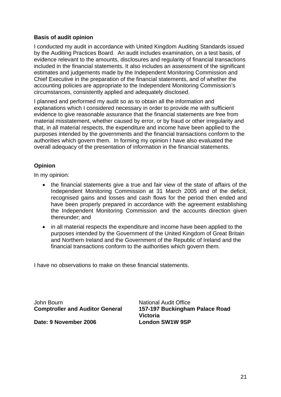#### **Basis of audit opinion**

I conducted my audit in accordance with United Kingdom Auditing Standards issued by the Auditing Practices Board. An audit includes examination, on a test basis, of evidence relevant to the amounts, disclosures and regularity of financial transactions included in the financial statements. It also includes an assessment of the significant estimates and judgements made by the Independent Monitoring Commission and Chief Executive in the preparation of the financial statements, and of whether the accounting policies are appropriate to the Independent Monitoring Commission's circumstances, consistently applied and adequately disclosed.

I planned and performed my audit so as to obtain all the information and explanations which I considered necessary in order to provide me with sufficient evidence to give reasonable assurance that the financial statements are free from material misstatement, whether caused by error, or by fraud or other irregularity and that, in all material respects, the expenditure and income have been applied to the purposes intended by the governments and the financial transactions conform to the authorities which govern them. In forming my opinion I have also evaluated the overall adequacy of the presentation of information in the financial statements.

#### **Opinion**

In my opinion:

- the financial statements give a true and fair view of the state of affairs of the Independent Monitoring Commission at 31 March 2005 and of the deficit, recognised gains and losses and cash flows for the period then ended and have been properly prepared in accordance with the agreement establishing the Independent Monitoring Commission and the accounts direction given thereunder; and
- in all material respects the expenditure and income have been applied to the purposes intended by the Government of the United Kingdom of Great Britain and Northern Ireland and the Government of the Republic of Ireland and the financial transactions conform to the authorities which govern them.

I have no observations to make on these financial statements.

John Bourn **National Audit Office** 

Date: 9 November 2006 London SW1W 9SP

**Comptroller and Auditor General 157-197 Buckingham Palace Road Victoria**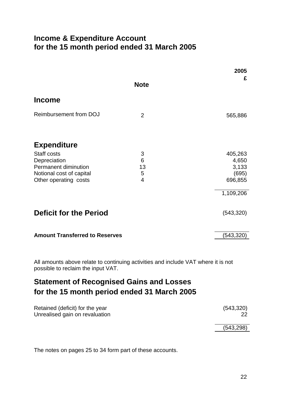## **Income & Expenditure Account for the 15 month period ended 31 March 2005**

|                                       |                       | 2005           |
|---------------------------------------|-----------------------|----------------|
|                                       | <b>Note</b>           | £              |
| <b>Income</b>                         |                       |                |
| <b>Reimbursement from DOJ</b>         | $\overline{2}$        | 565,886        |
| <b>Expenditure</b>                    |                       |                |
| Staff costs                           | 3                     | 405,263        |
| Depreciation<br>Permanent diminution  | $6\phantom{1}6$<br>13 | 4,650<br>3,133 |
| Notional cost of capital              | 5                     | (695)          |
| Other operating costs                 | 4                     | 696,855        |
|                                       |                       | 1,109,206      |
| <b>Deficit for the Period</b>         |                       | (543, 320)     |
| <b>Amount Transferred to Reserves</b> |                       | (543, 320)     |

All amounts above relate to continuing activities and include VAT where it is not possible to reclaim the input VAT.

# **Statement of Recognised Gains and Losses for the 15 month period ended 31 March 2005**

| Retained (deficit) for the year<br>Unrealised gain on revaluation | (543,320)  |
|-------------------------------------------------------------------|------------|
|                                                                   | (543, 298) |

The notes on pages 25 to 34 form part of these accounts.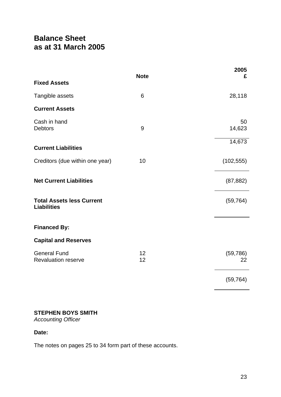# **Balance Sheet as at 31 March 2005**

|                                                        | <b>Note</b> | 2005<br>£       |
|--------------------------------------------------------|-------------|-----------------|
| <b>Fixed Assets</b>                                    |             |                 |
| Tangible assets                                        | 6           | 28,118          |
| <b>Current Assets</b>                                  |             |                 |
| Cash in hand<br><b>Debtors</b>                         | 9           | 50<br>14,623    |
| <b>Current Liabilities</b>                             |             | 14,673          |
| Creditors (due within one year)                        | 10          | (102, 555)      |
| <b>Net Current Liabilities</b>                         |             | (87, 882)       |
| <b>Total Assets less Current</b><br><b>Liabilities</b> |             | (59, 764)       |
| <b>Financed By:</b>                                    |             |                 |
| <b>Capital and Reserves</b>                            |             |                 |
| <b>General Fund</b><br><b>Revaluation reserve</b>      | 12<br>12    | (59, 786)<br>22 |
|                                                        |             | (59, 764)       |

### **STEPHEN BOYS SMITH**

*Accounting Officer* 

#### **Date:**

The notes on pages 25 to 34 form part of these accounts.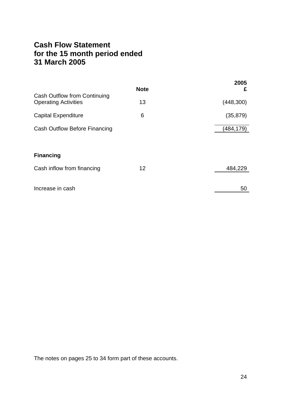## **Cash Flow Statement for the 15 month period ended 31 March 2005**

|                                                                    | <b>Note</b> | 2005<br>£  |
|--------------------------------------------------------------------|-------------|------------|
| <b>Cash Outflow from Continuing</b><br><b>Operating Activities</b> | 13          | (448, 300) |
| <b>Capital Expenditure</b>                                         | 6           | (35, 879)  |
| Cash Outflow Before Financing                                      |             | (484,179)  |
|                                                                    |             |            |
| <b>Financing</b>                                                   |             |            |
| Cash inflow from financing                                         | 12          | 484,229    |
|                                                                    |             |            |
| Increase in cash                                                   |             | 50         |

The notes on pages 25 to 34 form part of these accounts.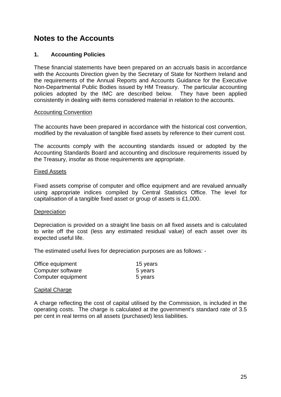## **Notes to the Accounts**

#### **1. Accounting Policies**

These financial statements have been prepared on an accruals basis in accordance with the Accounts Direction given by the Secretary of State for Northern Ireland and the requirements of the Annual Reports and Accounts Guidance for the Executive Non-Departmental Public Bodies issued by HM Treasury. The particular accounting policies adopted by the IMC are described below. They have been applied consistently in dealing with items considered material in relation to the accounts.

#### Accounting Convention

The accounts have been prepared in accordance with the historical cost convention, modified by the revaluation of tangible fixed assets by reference to their current cost.

The accounts comply with the accounting standards issued or adopted by the Accounting Standards Board and accounting and disclosure requirements issued by the Treasury, insofar as those requirements are appropriate.

#### Fixed Assets

Fixed assets comprise of computer and office equipment and are revalued annually using appropriate indices compiled by Central Statistics Office. The level for capitalisation of a tangible fixed asset or group of assets is £1,000.

#### **Depreciation**

Depreciation is provided on a straight line basis on all fixed assets and is calculated to write off the cost (less any estimated residual value) of each asset over its expected useful life.

The estimated useful lives for depreciation purposes are as follows: -

| Office equipment   | 15 years |
|--------------------|----------|
| Computer software  | 5 years  |
| Computer equipment | 5 years  |

#### Capital Charge

A charge reflecting the cost of capital utilised by the Commission, is included in the operating costs. The charge is calculated at the government's standard rate of 3.5 per cent in real terms on all assets (purchased) less liabilities.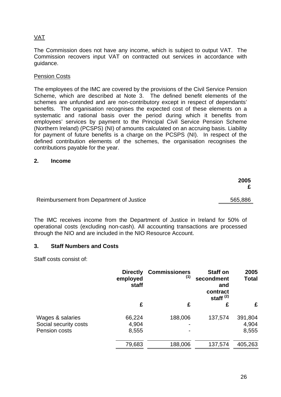### VAT

The Commission does not have any income, which is subject to output VAT. The Commission recovers input VAT on contracted out services in accordance with guidance.

#### Pension Costs

The employees of the IMC are covered by the provisions of the Civil Service Pension Scheme, which are described at Note 3. The defined benefit elements of the schemes are unfunded and are non-contributory except in respect of dependants' benefits. The organisation recognises the expected cost of these elements on a systematic and rational basis over the period during which it benefits from employees' services by payment to the Principal Civil Service Pension Scheme (Northern Ireland) (PCSPS) (NI) of amounts calculated on an accruing basis. Liability for payment of future benefits is a charge on the PCSPS (NI). In respect of the defined contribution elements of the schemes, the organisation recognises the contributions payable for the year.

#### **2. Income**

| 2005    |
|---------|
| 565,886 |
|         |

The IMC receives income from the Department of Justice in Ireland for 50% of operational costs (excluding non-cash). All accounting transactions are processed through the NIO and are included in the NIO Resource Account.

#### **3. Staff Numbers and Costs**

Staff costs consist of:

|                                                            | <b>Directly</b><br>employed<br>staff | <b>Commissioners</b><br>(1) | <b>Staff on</b><br>secondment<br>and<br>contract<br>staff $(2)$ | 2005<br><b>Total</b>      |
|------------------------------------------------------------|--------------------------------------|-----------------------------|-----------------------------------------------------------------|---------------------------|
|                                                            | £                                    | £                           | £                                                               | £                         |
| Wages & salaries<br>Social security costs<br>Pension costs | 66,224<br>4,904<br>8,555             | 188,006                     | 137,574                                                         | 391,804<br>4,904<br>8,555 |
|                                                            | 79,683                               | 188,006                     | 137,574                                                         | 405,263                   |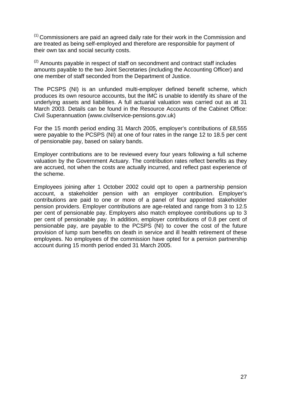$(1)$  Commissioners are paid an agreed daily rate for their work in the Commission and are treated as being self-employed and therefore are responsible for payment of their own tax and social security costs.

 $(2)$  Amounts payable in respect of staff on secondment and contract staff includes amounts payable to the two Joint Secretaries (including the Accounting Officer) and one member of staff seconded from the Department of Justice.

The PCSPS (NI) is an unfunded multi-employer defined benefit scheme, which produces its own resource accounts, but the IMC is unable to identify its share of the underlying assets and liabilities. A full actuarial valuation was carried out as at 31 March 2003. Details can be found in the Resource Accounts of the Cabinet Office: Civil Superannuation (www.civilservice-pensions.gov.uk)

For the 15 month period ending 31 March 2005, employer's contributions of £8,555 were payable to the PCSPS (NI) at one of four rates in the range 12 to 18.5 per cent of pensionable pay, based on salary bands.

Employer contributions are to be reviewed every four years following a full scheme valuation by the Government Actuary. The contribution rates reflect benefits as they are accrued, not when the costs are actually incurred, and reflect past experience of the scheme.

Employees joining after 1 October 2002 could opt to open a partnership pension account, a stakeholder pension with an employer contribution. Employer's contributions are paid to one or more of a panel of four appointed stakeholder pension providers. Employer contributions are age-related and range from 3 to 12.5 per cent of pensionable pay. Employers also match employee contributions up to 3 per cent of pensionable pay. In addition, employer contributions of 0.8 per cent of pensionable pay, are payable to the PCSPS (NI) to cover the cost of the future provision of lump sum benefits on death in service and ill health retirement of these employees. No employees of the commission have opted for a pension partnership account during 15 month period ended 31 March 2005.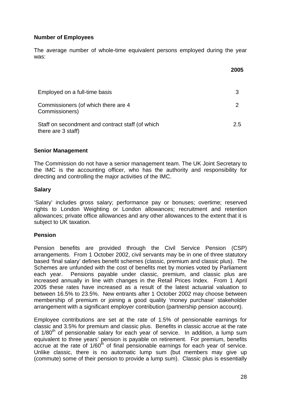#### **Number of Employees**

The average number of whole-time equivalent persons employed during the year was:

|                                                                        | 2005 |
|------------------------------------------------------------------------|------|
| Employed on a full-time basis                                          | 3    |
| Commissioners (of which there are 4<br>Commissioners)                  | 2    |
| Staff on secondment and contract staff (of which<br>there are 3 staff) | 2.5  |

#### **Senior Management**

The Commission do not have a senior management team. The UK Joint Secretary to the IMC is the accounting officer, who has the authority and responsibility for directing and controlling the major activities of the IMC.

#### **Salary**

'Salary' includes gross salary; performance pay or bonuses; overtime; reserved rights to London Weighting or London allowances; recruitment and retention allowances; private office allowances and any other allowances to the extent that it is subject to UK taxation.

#### **Pension**

Pension benefits are provided through the Civil Service Pension (CSP) arrangements. From 1 October 2002, civil servants may be in one of three statutory based 'final salary' defines benefit schemes (classic, premium and classic plus). The Schemes are unfunded with the cost of benefits met by monies voted by Parliament each year. Pensions payable under classic, premium, and classic plus are increased annually in line with changes in the Retail Prices Index. From 1 April 2005 these rates have increased as a result of the latest actuarial valuation to between 16.5% to 23.5%. New entrants after 1 October 2002 may choose between membership of premium or joining a good quality 'money purchase' stakeholder arrangement with a significant employer contribution (partnership pension account).

Employee contributions are set at the rate of 1.5% of pensionable earnings for classic and 3.5% for premium and classic plus. Benefits in classic accrue at the rate of 1/80<sup>th</sup> of pensionable salary for each year of service. In addition, a lump sum equivalent to three years' pension is payable on retirement. For premium, benefits accrue at the rate of  $1/60<sup>th</sup>$  of final pensionable earnings for each year of service. Unlike classic, there is no automatic lump sum (but members may give up (commute) some of their pension to provide a lump sum). Classic plus is essentially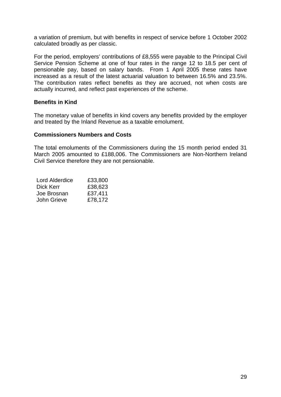a variation of premium, but with benefits in respect of service before 1 October 2002 calculated broadly as per classic.

For the period, employers' contributions of £8,555 were payable to the Principal Civil Service Pension Scheme at one of four rates in the range 12 to 18.5 per cent of pensionable pay, based on salary bands. From 1 April 2005 these rates have increased as a result of the latest actuarial valuation to between 16.5% and 23.5%. The contribution rates reflect benefits as they are accrued, not when costs are actually incurred, and reflect past experiences of the scheme.

#### **Benefits in Kind**

The monetary value of benefits in kind covers any benefits provided by the employer and treated by the Inland Revenue as a taxable emolument.

#### **Commissioners Numbers and Costs**

The total emoluments of the Commissioners during the 15 month period ended 31 March 2005 amounted to £188,006. The Commissioners are Non-Northern Ireland Civil Service therefore they are not pensionable.

| Lord Alderdice | £33,800 |
|----------------|---------|
| Dick Kerr      | £38,623 |
| Joe Brosnan    | £37,411 |
| John Grieve    | £78,172 |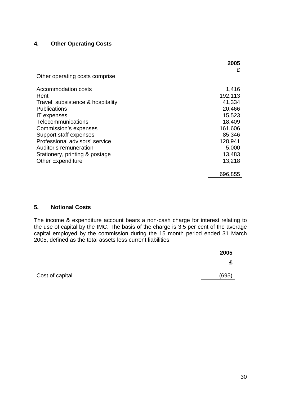#### **4. Other Operating Costs**

|                                           | 2005<br>£         |
|-------------------------------------------|-------------------|
| Other operating costs comprise            |                   |
| Accommodation costs                       | 1,416             |
| Rent<br>Travel, subsistence & hospitality | 192,113<br>41,334 |
| <b>Publications</b>                       | 20,466            |
| <b>IT</b> expenses                        | 15,523            |
| Telecommunications                        | 18,409            |
| Commission's expenses                     | 161,606           |
| Support staff expenses                    | 85,346            |
| Professional advisors' service            | 128,941           |
| Auditor's remuneration                    | 5,000             |
| Stationery, printing & postage            | 13,483            |
| <b>Other Expenditure</b>                  | 13,218            |
|                                           | 696,855           |

#### **5. Notional Costs**

The income & expenditure account bears a non-cash charge for interest relating to the use of capital by the IMC. The basis of the charge is 3.5 per cent of the average capital employed by the commission during the 15 month period ended 31 March 2005, defined as the total assets less current liabilities.

| 2005  |  |
|-------|--|
| £     |  |
| (60F) |  |

Cost of capital (695)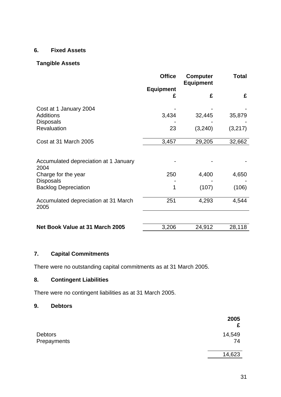## **6. Fixed Assets**

#### **Tangible Assets**

|                                               | <b>Office</b>    | <b>Computer</b><br><b>Equipment</b> | <b>Total</b> |
|-----------------------------------------------|------------------|-------------------------------------|--------------|
|                                               | <b>Equipment</b> | £                                   |              |
|                                               | £                |                                     | £            |
| Cost at 1 January 2004                        |                  |                                     |              |
| <b>Additions</b>                              | 3,434            | 32,445                              | 35,879       |
| <b>Disposals</b><br>Revaluation               | 23               | (3,240)                             | (3,217)      |
| Cost at 31 March 2005                         | 3,457            | 29,205                              | 32,662       |
|                                               |                  |                                     |              |
| Accumulated depreciation at 1 January<br>2004 |                  |                                     |              |
| Charge for the year<br><b>Disposals</b>       | 250              | 4,400                               | 4,650        |
| <b>Backlog Depreciation</b>                   | 1                | (107)                               | (106)        |
| Accumulated depreciation at 31 March<br>2005  | 251              | 4,293                               | 4,544        |
|                                               |                  |                                     |              |
| Net Book Value at 31 March 2005               | 3,206            | 24,912                              | 28,118       |

## **7. Capital Commitments**

There were no outstanding capital commitments as at 31 March 2005.

## **8. Contingent Liabilities**

There were no contingent liabilities as at 31 March 2005.

#### **9. Debtors**

|                               | 2005<br>£    |
|-------------------------------|--------------|
| <b>Debtors</b><br>Prepayments | 14,549<br>74 |
|                               | 14,623       |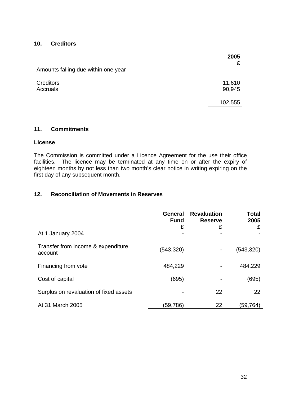#### **10. Creditors**

|                                     | 2005             |
|-------------------------------------|------------------|
| Amounts falling due within one year |                  |
| <b>Creditors</b><br>Accruals        | 11,610<br>90,945 |
|                                     | 102,555          |

#### **11. Commitments**

#### **License**

The Commission is committed under a Licence Agreement for the use their office facilities. The licence may be terminated at any time on or after the expiry of eighteen months by not less than two month's clear notice in writing expiring on the first day of any subsequent month.

#### **12. Reconciliation of Movements in Reserves**

|                                               | <b>General</b><br><b>Fund</b><br>£ | <b>Revaluation</b><br><b>Reserve</b><br>£ | <b>Total</b><br>2005<br>£ |
|-----------------------------------------------|------------------------------------|-------------------------------------------|---------------------------|
| At 1 January 2004                             |                                    |                                           |                           |
| Transfer from income & expenditure<br>account | (543, 320)                         |                                           | (543, 320)                |
| Financing from vote                           | 484,229                            |                                           | 484,229                   |
| Cost of capital                               | (695)                              |                                           | (695)                     |
| Surplus on revaluation of fixed assets        |                                    | 22                                        | 22                        |
| At 31 March 2005                              | (59,786)                           | 22                                        | (59,764)                  |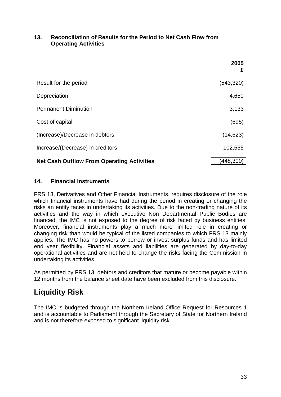#### **13. Reconciliation of Results for the Period to Net Cash Flow from Operating Activities**

|                                                   | 2005<br>£  |
|---------------------------------------------------|------------|
| Result for the period                             | (543, 320) |
| Depreciation                                      | 4,650      |
| <b>Permanent Diminution</b>                       | 3,133      |
| Cost of capital                                   | (695)      |
| (Increase)/Decrease in debtors                    | (14, 623)  |
| Increase/(Decrease) in creditors                  | 102,555    |
| <b>Net Cash Outflow From Operating Activities</b> | (448, 300) |

#### **14. Financial Instruments**

FRS 13, Derivatives and Other Financial Instruments, requires disclosure of the role which financial instruments have had during the period in creating or changing the risks an entity faces in undertaking its activities. Due to the non-trading nature of its activities and the way in which executive Non Departmental Public Bodies are financed, the IMC is not exposed to the degree of risk faced by business entities. Moreover, financial instruments play a much more limited role in creating or changing risk than would be typical of the listed companies to which FRS 13 mainly applies. The IMC has no powers to borrow or invest surplus funds and has limited end year flexibility. Financial assets and liabilities are generated by day-to-day operational activities and are not held to change the risks facing the Commission in undertaking its activities.

As permitted by FRS 13, debtors and creditors that mature or become payable within 12 months from the balance sheet date have been excluded from this disclosure.

# **Liquidity Risk**

The IMC is budgeted through the Northern Ireland Office Request for Resources 1 and is accountable to Parliament through the Secretary of State for Northern Ireland and is not therefore exposed to significant liquidity risk.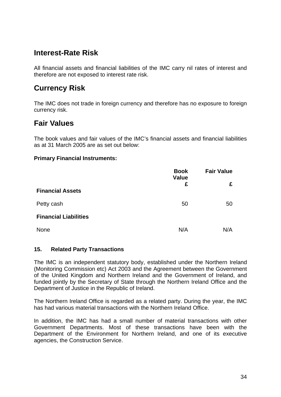## **Interest-Rate Risk**

All financial assets and financial liabilities of the IMC carry nil rates of interest and therefore are not exposed to interest rate risk.

## **Currency Risk**

The IMC does not trade in foreign currency and therefore has no exposure to foreign currency risk.

## **Fair Values**

The book values and fair values of the IMC's financial assets and financial liabilities as at 31 March 2005 are as set out below:

#### **Primary Financial Instruments:**

|                              | <b>Book</b><br>Value<br>£ | <b>Fair Value</b> |  |
|------------------------------|---------------------------|-------------------|--|
| <b>Financial Assets</b>      |                           | £                 |  |
| Petty cash                   | 50                        | 50                |  |
| <b>Financial Liabilities</b> |                           |                   |  |
| None                         | N/A                       | N/A               |  |

#### **15. Related Party Transactions**

The IMC is an independent statutory body, established under the Northern Ireland (Monitoring Commission etc) Act 2003 and the Agreement between the Government of the United Kingdom and Northern Ireland and the Government of Ireland, and funded jointly by the Secretary of State through the Northern Ireland Office and the Department of Justice in the Republic of Ireland.

The Northern Ireland Office is regarded as a related party. During the year, the IMC has had various material transactions with the Northern Ireland Office.

In addition, the IMC has had a small number of material transactions with other Government Departments. Most of these transactions have been with the Department of the Environment for Northern Ireland, and one of its executive agencies, the Construction Service.